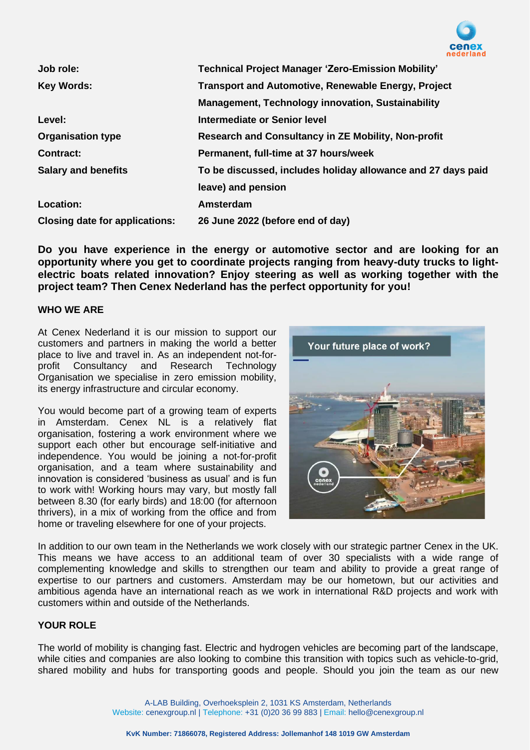

| Job role:                             | <b>Technical Project Manager 'Zero-Emission Mobility'</b>    |
|---------------------------------------|--------------------------------------------------------------|
| <b>Key Words:</b>                     | <b>Transport and Automotive, Renewable Energy, Project</b>   |
|                                       | <b>Management, Technology innovation, Sustainability</b>     |
| Level:                                | Intermediate or Senior level                                 |
| <b>Organisation type</b>              | Research and Consultancy in ZE Mobility, Non-profit          |
| <b>Contract:</b>                      | Permanent, full-time at 37 hours/week                        |
| <b>Salary and benefits</b>            | To be discussed, includes holiday allowance and 27 days paid |
|                                       | leave) and pension                                           |
| Location:                             | Amsterdam                                                    |
| <b>Closing date for applications:</b> | 26 June 2022 (before end of day)                             |

**Do you have experience in the energy or automotive sector and are looking for an opportunity where you get to coordinate projects ranging from heavy-duty trucks to lightelectric boats related innovation? Enjoy steering as well as working together with the project team? Then Cenex Nederland has the perfect opportunity for you!**

## **WHO WE ARE**

At Cenex Nederland it is our mission to support our customers and partners in making the world a better place to live and travel in. As an independent not-forprofit Consultancy and Research Technology Organisation we specialise in zero emission mobility, its energy infrastructure and circular economy.

You would become part of a growing team of experts in Amsterdam. Cenex NL is a relatively flat organisation, fostering a work environment where we support each other but encourage self-initiative and independence. You would be joining a not-for-profit organisation, and a team where sustainability and innovation is considered 'business as usual' and is fun to work with! Working hours may vary, but mostly fall between 8.30 (for early birds) and 18:00 (for afternoon thrivers), in a mix of working from the office and from home or traveling elsewhere for one of your projects.



In addition to our own team in the Netherlands we work closely with our strategic partner Cenex in the UK. This means we have access to an additional team of over 30 specialists with a wide range of complementing knowledge and skills to strengthen our team and ability to provide a great range of expertise to our partners and customers. Amsterdam may be our hometown, but our activities and ambitious agenda have an international reach as we work in international R&D projects and work with customers within and outside of the Netherlands.

## **YOUR ROLE**

The world of mobility is changing fast. Electric and hydrogen vehicles are becoming part of the landscape, while cities and companies are also looking to combine this transition with topics such as vehicle-to-grid, shared mobility and hubs for transporting goods and people. Should you join the team as our new